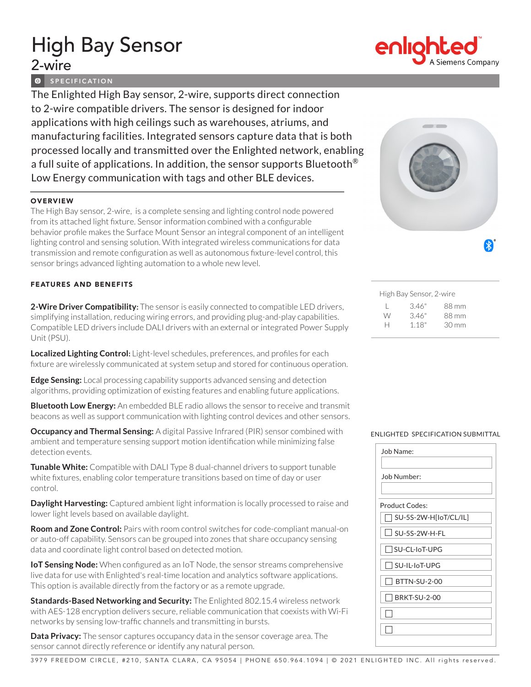# High Bay Sensor 2-wire

**O** SPECIFICATION

The Enlighted High Bay sensor, 2-wire, supports direct connection to 2-wire compatible drivers. The sensor is designed for indoor applications with high ceilings such as warehouses, atriums, and manufacturing facilities. Integrated sensors capture data that is both processed locally and transmitted over the Enlighted network, enabling a full suite of applications. In addition, the sensor supports Bluetooth<sup>®</sup> Low Energy communication with tags and other BLE devices.

## **OVERVIEW**

The High Bay sensor, 2-wire, is a complete sensing and lighting control node powered from its attached light fixture. Sensor information combined with a configurable behavior profile makes the Surface Mount Sensor an integral component of an intelligent lighting control and sensing solution. With integrated wireless communications for data transmission and remote configuration as well as autonomous fixture-level control, this sensor brings advanced lighting automation to a whole new level.

## FEATURES AND BENEFITS

**2-Wire Driver Compatibility:** The sensor is easily connected to compatible LED drivers, simplifying installation, reducing wiring errors, and providing plug-and-play capabilities. Compatible LED drivers include DALI drivers with an external or integrated Power Supply Unit (PSU).

**Localized Lighting Control:** Light-level schedules, preferences, and profiles for each fixture are wirelessly communicated at system setup and stored for continuous operation.

**Edge Sensing:** Local processing capability supports advanced sensing and detection algorithms, providing optimization of existing features and enabling future applications.

**Bluetooth Low Energy:** An embedded BLE radio allows the sensor to receive and transmit beacons as well as support communication with lighting control devices and other sensors.

**Occupancy and Thermal Sensing:** A digital Passive Infrared (PIR) sensor combined with ambient and temperature sensing support motion identification while minimizing false detection events.

**Tunable White:** Compatible with DALI Type 8 dual-channel drivers to support tunable white fixtures, enabling color temperature transitions based on time of day or user control.

**Daylight Harvesting:** Captured ambient light information is locally processed to raise and lower light levels based on available daylight.

**Room and Zone Control:** Pairs with room control switches for code-compliant manual-on or auto-off capability. Sensors can be grouped into zones that share occupancy sensing data and coordinate light control based on detected motion.

**IoT Sensing Node:** When configured as an IoT Node, the sensor streams comprehensive live data for use with Enlighted's real-time location and analytics software applications. This option is available directly from the factory or as a remote upgrade.

**Standards-Based Networking and Security:** The Enlighted 802.15.4 wireless network with AES-128 encryption delivers secure, reliable communication that coexists with Wi-Fi networks by sensing low-traffic channels and transmitting in bursts.

**Data Privacy:** The sensor captures occupancy data in the sensor coverage area. The sensor cannot directly reference or identify any natural person.



High Bay Sensor, 2-wire L 3.46" 88 mm W 3.46" 88 mm H 1.18" 30 mm

### ENLIGHTED SPECIFICATION SUBMITTAL

| Job Name:             |  |  |  |
|-----------------------|--|--|--|
| Job Number:           |  |  |  |
| <b>Product Codes:</b> |  |  |  |
| SU-5S-2W-H[loT/CL/IL] |  |  |  |
| $\Box$ SU-5S-2W-H-FL  |  |  |  |
| SU-CL-IoT-UPG         |  |  |  |
| SU-IL-IoT-UPG         |  |  |  |
| BTTN-SU-2-00          |  |  |  |
| <b>BRKT-SU-2-00</b>   |  |  |  |
|                       |  |  |  |
|                       |  |  |  |
|                       |  |  |  |



3979 FREEDOM CIRCLE, #210, SANTA CLARA, CA 95054 | PHONE 650.964.1094 | © 2021 ENLIGHTED INC. All rights reserved.